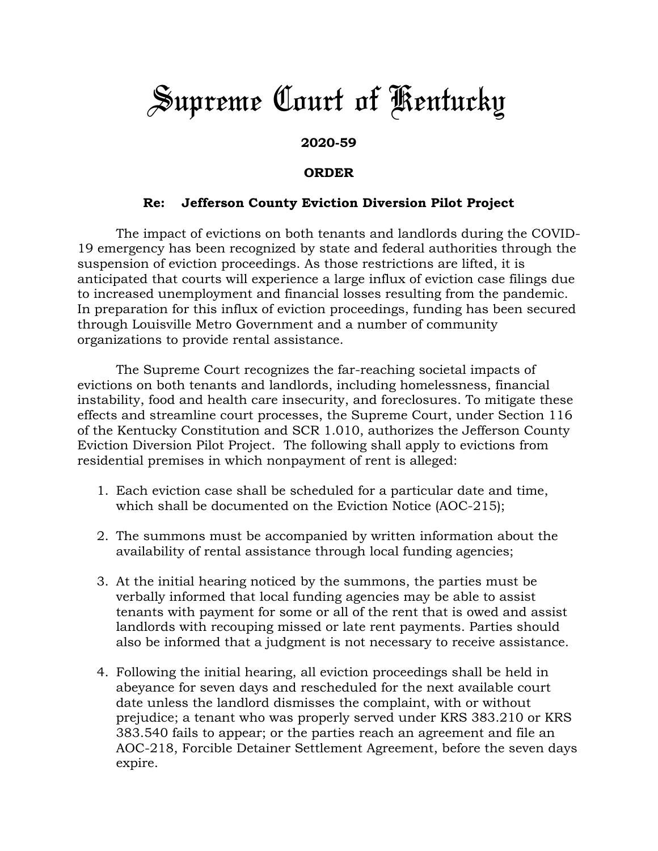## *Supreme Court of Kentucky*

## **2020-59**

## **ORDER**

## **Re: Jefferson County Eviction Diversion Pilot Project**

The impact of evictions on both tenants and landlords during the COVID-19 emergency has been recognized by state and federal authorities through the suspension of eviction proceedings. As those restrictions are lifted, it is anticipated that courts will experience a large influx of eviction case filings due to increased unemployment and financial losses resulting from the pandemic. In preparation for this influx of eviction proceedings, funding has been secured through Louisville Metro Government and a number of community organizations to provide rental assistance.

The Supreme Court recognizes the far-reaching societal impacts of evictions on both tenants and landlords, including homelessness, financial instability, food and health care insecurity, and foreclosures. To mitigate these effects and streamline court processes, the Supreme Court, under Section 116 of the Kentucky Constitution and SCR 1.010, authorizes the Jefferson County Eviction Diversion Pilot Project. The following shall apply to evictions from residential premises in which nonpayment of rent is alleged:

- 1. Each eviction case shall be scheduled for a particular date and time, which shall be documented on the Eviction Notice (AOC-215);
- 2. The summons must be accompanied by written information about the availability of rental assistance through local funding agencies;
- 3. At the initial hearing noticed by the summons, the parties must be verbally informed that local funding agencies may be able to assist tenants with payment for some or all of the rent that is owed and assist landlords with recouping missed or late rent payments. Parties should also be informed that a judgment is not necessary to receive assistance.
- 4. Following the initial hearing, all eviction proceedings shall be held in abeyance for seven days and rescheduled for the next available court date unless the landlord dismisses the complaint, with or without prejudice; a tenant who was properly served under KRS 383.210 or KRS 383.540 fails to appear; or the parties reach an agreement and file an AOC-218, Forcible Detainer Settlement Agreement, before the seven days expire.